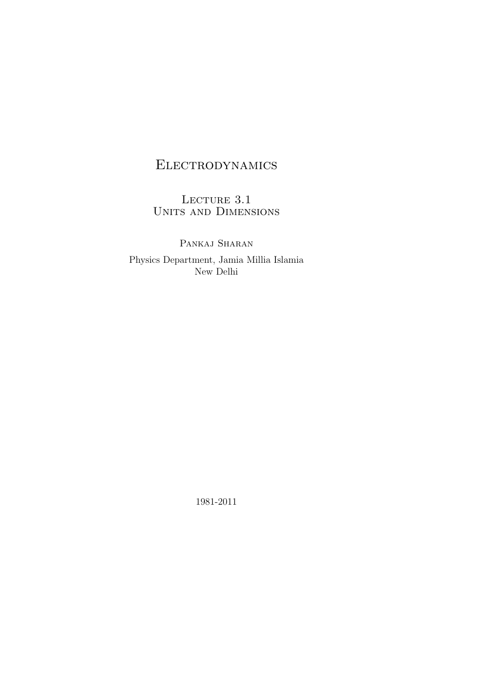# Electrodynamics

LECTURE 3.1 Units and Dimensions

PANKAJ SHARAN Physics Department, Jamia Millia Islamia New Delhi

1981-2011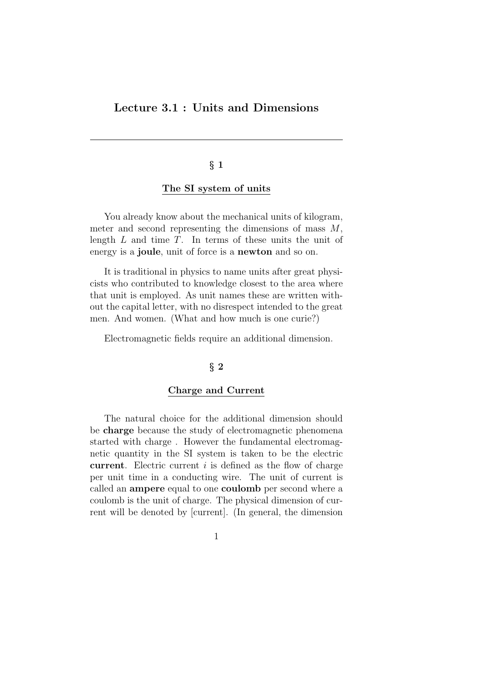# Lecture 3.1 : Units and Dimensions

# § 1

### The SI system of units

You already know about the mechanical units of kilogram, meter and second representing the dimensions of mass  $M$ , length  $L$  and time  $T$ . In terms of these units the unit of energy is a **joule**, unit of force is a **newton** and so on.

It is traditional in physics to name units after great physicists who contributed to knowledge closest to the area where that unit is employed. As unit names these are written without the capital letter, with no disrespect intended to the great men. And women. (What and how much is one curie?)

Electromagnetic fields require an additional dimension.

## $\S 2$

#### Charge and Current

The natural choice for the additional dimension should be charge because the study of electromagnetic phenomena started with charge . However the fundamental electromagnetic quantity in the SI system is taken to be the electric current. Electric current  $i$  is defined as the flow of charge per unit time in a conducting wire. The unit of current is called an ampere equal to one coulomb per second where a coulomb is the unit of charge. The physical dimension of current will be denoted by [current]. (In general, the dimension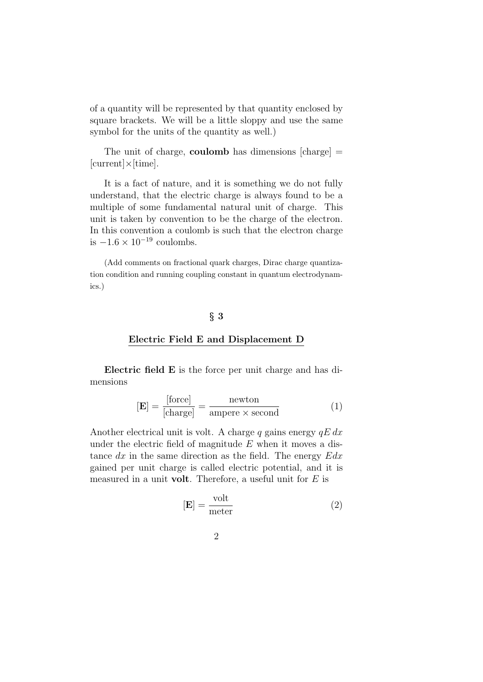of a quantity will be represented by that quantity enclosed by square brackets. We will be a little sloppy and use the same symbol for the units of the quantity as well.)

The unit of charge, **coulomb** has dimensions  $[charge] =$ [current]×[time].

It is a fact of nature, and it is something we do not fully understand, that the electric charge is always found to be a multiple of some fundamental natural unit of charge. This unit is taken by convention to be the charge of the electron. In this convention a coulomb is such that the electron charge is  $-1.6 \times 10^{-19}$  coulombs.

(Add comments on fractional quark charges, Dirac charge quantization condition and running coupling constant in quantum electrodynamics.)

### § 3

#### Electric Field E and Displacement D

Electric field E is the force per unit charge and has dimensions

$$
[\mathbf{E}] = \frac{[\text{force}]}{[\text{charge}]} = \frac{\text{newton}}{\text{ampere} \times \text{second}} \tag{1}
$$

Another electrical unit is volt. A charge q gains energy  $qE dx$ under the electric field of magnitude  $E$  when it moves a distance  $dx$  in the same direction as the field. The energy  $Edx$ gained per unit charge is called electric potential, and it is measured in a unit **volt**. Therefore, a useful unit for  $E$  is

$$
[\mathbf{E}] = \frac{\text{volt}}{\text{meter}} \tag{2}
$$

$$
2 \\
$$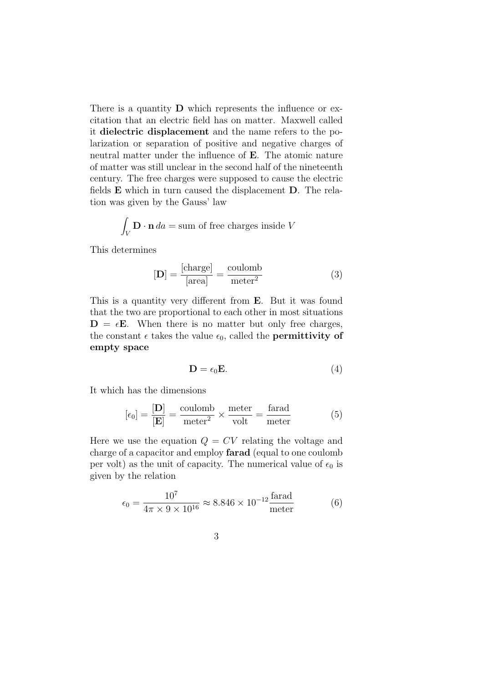There is a quantity **D** which represents the influence or excitation that an electric field has on matter. Maxwell called it dielectric displacement and the name refers to the polarization or separation of positive and negative charges of neutral matter under the influence of E. The atomic nature of matter was still unclear in the second half of the nineteenth century. The free charges were supposed to cause the electric fields E which in turn caused the displacement D. The relation was given by the Gauss' law

$$
\int_V \mathbf{D} \cdot \mathbf{n} \, da = \text{sum of free charges inside } V
$$

This determines

$$
[\mathbf{D}] = \frac{[\text{charge}]}{[\text{area}]} = \frac{\text{coulomb}}{\text{meter}^2}
$$
 (3)

This is a quantity very different from E. But it was found that the two are proportional to each other in most situations  $D = \epsilon E$ . When there is no matter but only free charges, the constant  $\epsilon$  takes the value  $\epsilon_0$ , called the **permittivity of** empty space

$$
\mathbf{D} = \epsilon_0 \mathbf{E}.\tag{4}
$$

It which has the dimensions

$$
[\epsilon_0] = \frac{[\mathbf{D}]}{[\mathbf{E}]} = \frac{\text{coulomb}}{\text{meter}^2} \times \frac{\text{meter}}{\text{volt}} = \frac{\text{farad}}{\text{meter}} \tag{5}
$$

Here we use the equation  $Q = CV$  relating the voltage and charge of a capacitor and employ farad (equal to one coulomb per volt) as the unit of capacity. The numerical value of  $\epsilon_0$  is given by the relation

$$
\epsilon_0 = \frac{10^7}{4\pi \times 9 \times 10^{16}} \approx 8.846 \times 10^{-12} \frac{\text{farad}}{\text{meter}} \tag{6}
$$

$$
3 \\
$$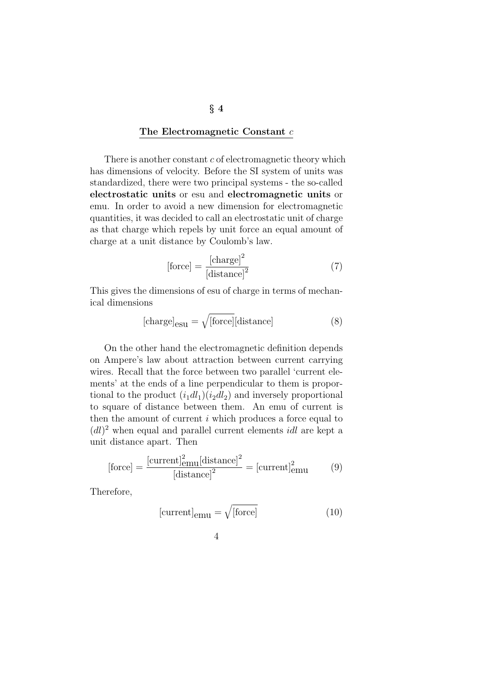#### The Electromagnetic Constant c

There is another constant  $c$  of electromagnetic theory which has dimensions of velocity. Before the SI system of units was standardized, there were two principal systems - the so-called electrostatic units or esu and electromagnetic units or emu. In order to avoid a new dimension for electromagnetic quantities, it was decided to call an electrostatic unit of charge as that charge which repels by unit force an equal amount of charge at a unit distance by Coulomb's law.

$$
[\text{force}] = \frac{[\text{charge}]^2}{[\text{distance}]^2} \tag{7}
$$

This gives the dimensions of esu of charge in terms of mechanical dimensions

$$
[charge]_{\text{esu}} = \sqrt{[\text{force}]}[\text{distance}] \tag{8}
$$

On the other hand the electromagnetic definition depends on Ampere's law about attraction between current carrying wires. Recall that the force between two parallel 'current elements' at the ends of a line perpendicular to them is proportional to the product  $(i_1dl_1)(i_2dl_2)$  and inversely proportional to square of distance between them. An emu of current is then the amount of current  $i$  which produces a force equal to  $(dl)^2$  when equal and parallel current elements *idl* are kept a unit distance apart. Then

$$
[\text{force}] = \frac{[\text{current}]_{\text{emu}}^2[\text{distance}]^2}{[\text{distance}]^2} = [\text{current}]_{\text{emu}}^2 \tag{9}
$$

Therefore,

$$
[current]_{\text{emu}} = \sqrt{\text{[force]}}
$$
 (10)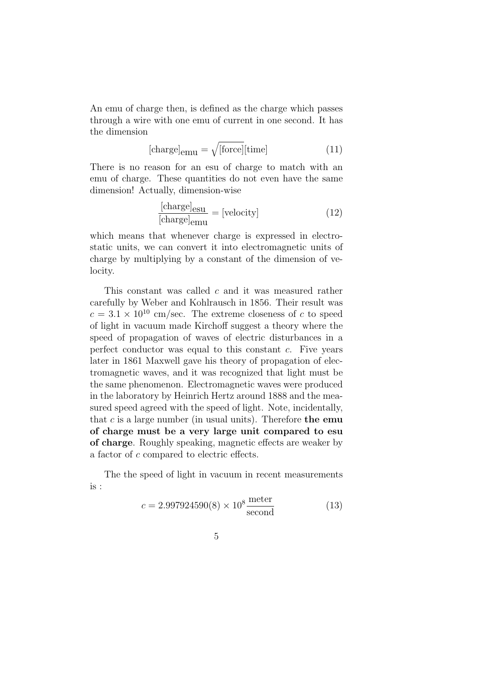An emu of charge then, is defined as the charge which passes through a wire with one emu of current in one second. It has the dimension

$$
[charge]_{\text{emu}} = \sqrt{[\text{force}][\text{time}]} \tag{11}
$$

There is no reason for an esu of charge to match with an emu of charge. These quantities do not even have the same dimension! Actually, dimension-wise

$$
\frac{\text{[charge]_{\text{esu}}}}{\text{[charge]_{\text{emu}}}} = \text{[velocity]} \tag{12}
$$

which means that whenever charge is expressed in electrostatic units, we can convert it into electromagnetic units of charge by multiplying by a constant of the dimension of velocity.

This constant was called c and it was measured rather carefully by Weber and Kohlrausch in 1856. Their result was  $c = 3.1 \times 10^{10}$  cm/sec. The extreme closeness of c to speed of light in vacuum made Kirchoff suggest a theory where the speed of propagation of waves of electric disturbances in a perfect conductor was equal to this constant c. Five years later in 1861 Maxwell gave his theory of propagation of electromagnetic waves, and it was recognized that light must be the same phenomenon. Electromagnetic waves were produced in the laboratory by Heinrich Hertz around 1888 and the measured speed agreed with the speed of light. Note, incidentally, that c is a large number (in usual units). Therefore the emu of charge must be a very large unit compared to esu of charge. Roughly speaking, magnetic effects are weaker by a factor of c compared to electric effects.

The the speed of light in vacuum in recent measurements is :

$$
c = 2.997924590(8) \times 10^8 \frac{\text{meter}}{\text{second}}
$$
 (13)

$$
5\,
$$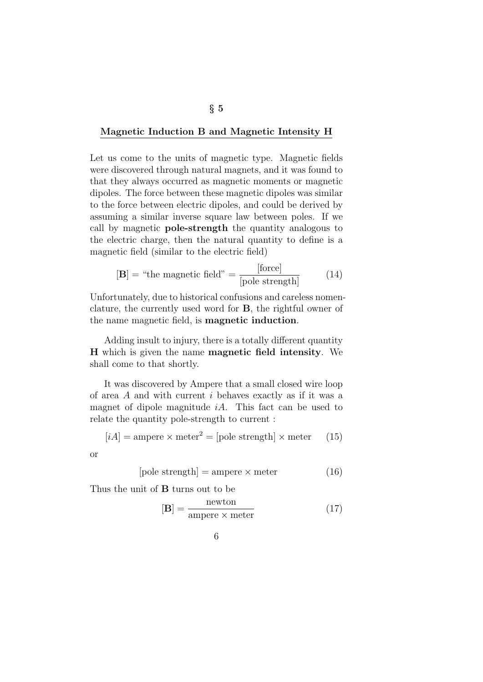#### Magnetic Induction B and Magnetic Intensity H

Let us come to the units of magnetic type. Magnetic fields were discovered through natural magnets, and it was found to that they always occurred as magnetic moments or magnetic dipoles. The force between these magnetic dipoles was similar to the force between electric dipoles, and could be derived by assuming a similar inverse square law between poles. If we call by magnetic pole-strength the quantity analogous to the electric charge, then the natural quantity to define is a magnetic field (similar to the electric field)

$$
[\mathbf{B}] = \text{``the magnetic field''} = \frac{\text{[force]}}{\text{[pole strength]}} \tag{14}
$$

Unfortunately, due to historical confusions and careless nomenclature, the currently used word for B, the rightful owner of the name magnetic field, is magnetic induction.

Adding insult to injury, there is a totally different quantity H which is given the name magnetic field intensity. We shall come to that shortly.

It was discovered by Ampere that a small closed wire loop of area A and with current i behaves exactly as if it was a magnet of dipole magnitude  $iA$ . This fact can be used to relate the quantity pole-strength to current :

$$
[iA] = \text{ampere} \times \text{meter}^2 = [\text{pole strength}] \times \text{meter} \qquad (15)
$$

6

or

$$
[pole strength] = ampere \times meter \tag{16}
$$

Thus the unit of B turns out to be

$$
[\mathbf{B}] = \frac{\text{newton}}{\text{ampere} \times \text{meter}} \tag{17}
$$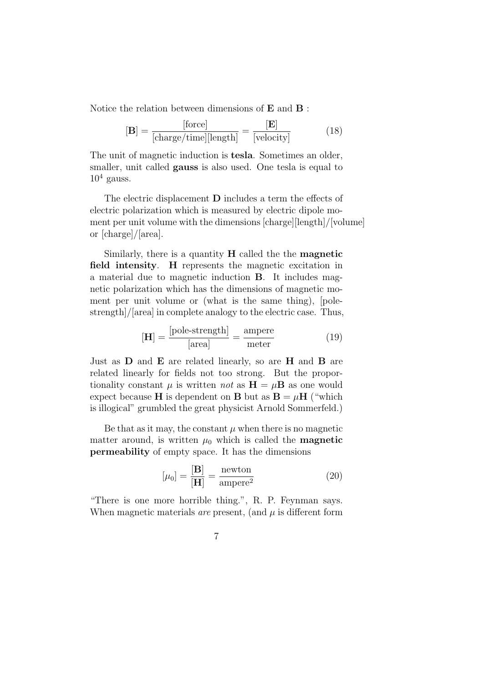Notice the relation between dimensions of E and B :

$$
[\mathbf{B}] = \frac{[\text{force}]}{[\text{charge/time}][\text{length}]} = \frac{[\mathbf{E}]}{[\text{velocity}]}
$$
(18)

The unit of magnetic induction is tesla. Sometimes an older, smaller, unit called **gauss** is also used. One tesla is equal to  $10^4$  gauss.

The electric displacement D includes a term the effects of electric polarization which is measured by electric dipole moment per unit volume with the dimensions [charge][length]/[volume] or [charge]/[area].

Similarly, there is a quantity  $H$  called the the **magnetic** field intensity. H represents the magnetic excitation in a material due to magnetic induction B. It includes magnetic polarization which has the dimensions of magnetic moment per unit volume or (what is the same thing), [polestrength]/[area] in complete analogy to the electric case. Thus,

$$
[\mathbf{H}] = \frac{[\text{pole-strength}]}{[\text{area}]} = \frac{\text{ampere}}{\text{meter}} \tag{19}
$$

Just as  $D$  and  $E$  are related linearly, so are  $H$  and  $B$  are related linearly for fields not too strong. But the proportionality constant  $\mu$  is written not as  $H = \mu B$  as one would expect because **H** is dependent on **B** but as  $B = \mu H$  ("which is illogical" grumbled the great physicist Arnold Sommerfeld.)

Be that as it may, the constant  $\mu$  when there is no magnetic matter around, is written  $\mu_0$  which is called the **magnetic** permeability of empty space. It has the dimensions

$$
[\mu_0] = \frac{[\mathbf{B}]}{[\mathbf{H}]} = \frac{\text{newton}}{\text{ampere}^2}
$$
 (20)

"There is one more horrible thing.", R. P. Feynman says. When magnetic materials *are* present, (and  $\mu$  is different form

$$
7\,
$$